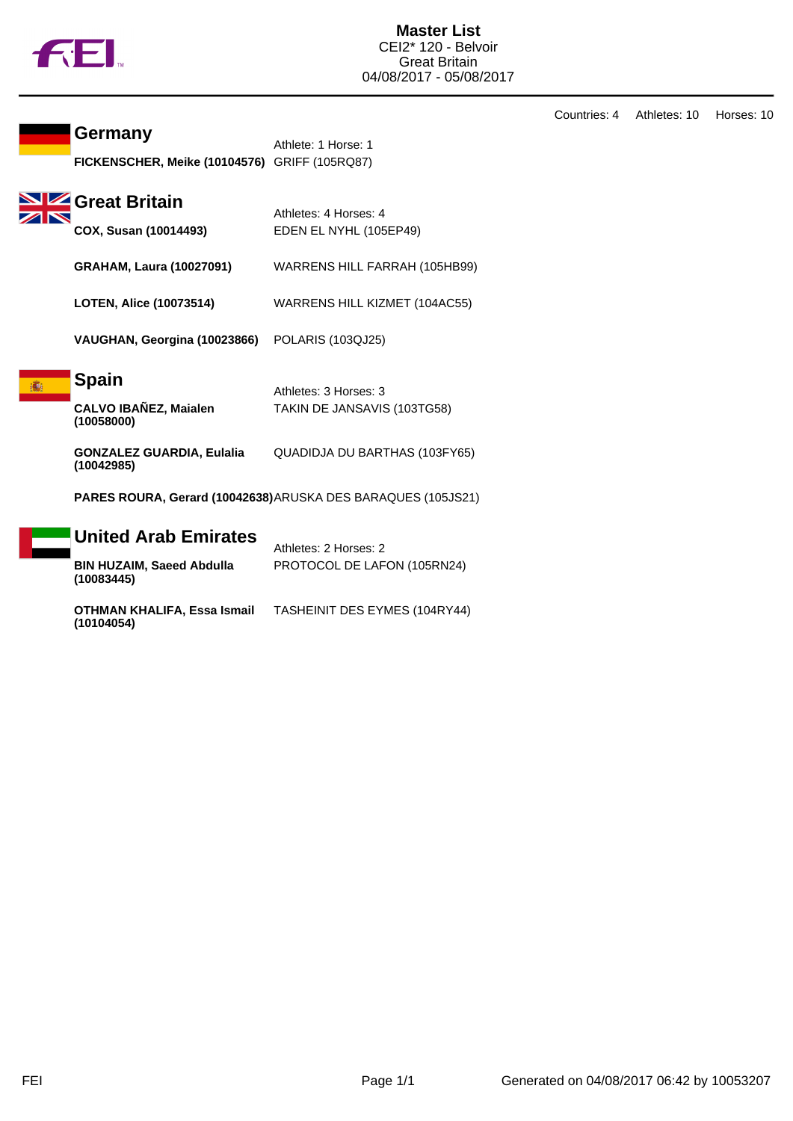

Countries: 4 Athletes: 10 Horses: 10

## **Germany**

| Germany                                              | Athlete: 1 Horse: 1 |
|------------------------------------------------------|---------------------|
| <b>FICKENSCHER, Meike (10104576)</b> GRIFF (105RQ87) |                     |

|                | SIZ Great B |  |
|----------------|-------------|--|
| $\mathbb{Z}^n$ |             |  |

| <b>Great Britain</b>            |                                                 |
|---------------------------------|-------------------------------------------------|
| COX, Susan (10014493)           | Athletes: 4 Horses: 4<br>EDEN EL NYHL (105EP49) |
|                                 |                                                 |
| <b>GRAHAM, Laura (10027091)</b> | WARRENS HILL FARRAH (105HB99)                   |

**LOTEN, Alice (10073514)** WARRENS HILL KIZMET (104AC55)

**VAUGHAN, Georgina (10023866)** POLARIS (103QJ25)

## **Spain**

| <b>CALVO IBAÑEZ, Maialen</b> |  |
|------------------------------|--|
| (10058000)                   |  |

**GONZALEZ GUARDIA, Eulalia (10042985)** QUADIDJA DU BARTHAS (103FY65)

**PARES ROURA, Gerard (10042638)**ARUSKA DES BARAQUES (105JS21)

Athletes: 3 Horses: 3

TAKIN DE JANSAVIS (103TG58)

| United Arab Emirates<br><b>BIN HUZAIM, Saeed Abdulla</b><br>(10083445) | Athletes: 2 Horses: 2<br>PROTOCOL DE LAFON (105RN24) |
|------------------------------------------------------------------------|------------------------------------------------------|
| <b>OTHMAN KHALIFA, Essa Ismail</b><br>(10104054)                       | TASHEINIT DES EYMES (104RY44)                        |